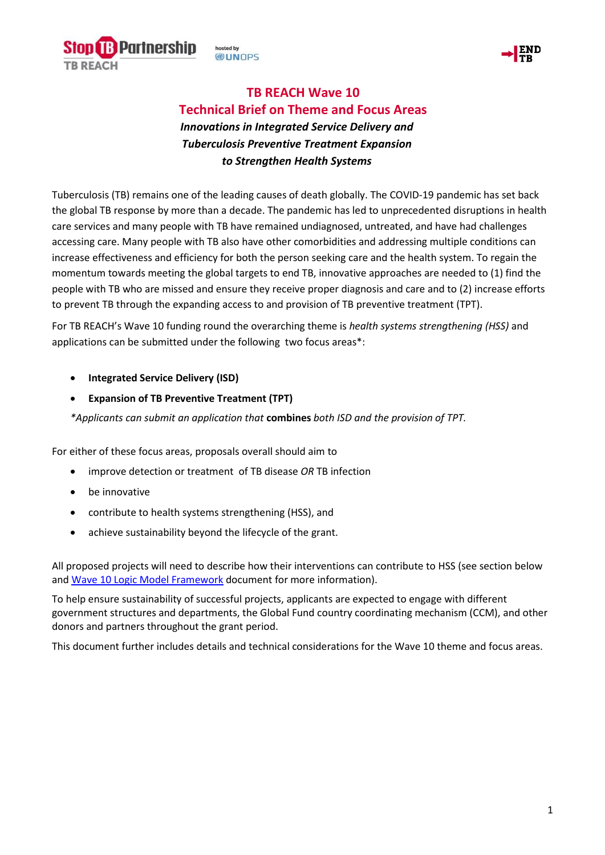



# **TB REACH Wave 10 Technical Brief on Theme and Focus Areas** *Innovations in Integrated Service Delivery and*

*Tuberculosis Preventive Treatment Expansion to Strengthen Health Systems*

Tuberculosis (TB) remains one of the leading causes of death globally. The COVID-19 pandemic has set back the global TB response by more than a decade. The pandemic has led to unprecedented disruptions in health care services and many people with TB have remained undiagnosed, untreated, and have had challenges accessing care. Many people with TB also have other comorbidities and addressing multiple conditions can increase effectiveness and efficiency for both the person seeking care and the health system. To regain the momentum towards meeting the global targets to end TB, innovative approaches are needed to (1) find the people with TB who are missed and ensure they receive proper diagnosis and care and to (2) increase efforts to prevent TB through the expanding access to and provision of TB preventive treatment (TPT).

For TB REACH's Wave 10 funding round the overarching theme is *health systems strengthening (HSS)* and applications can be submitted under the following two focus areas\*:

# • **Integrated Service Delivery (ISD)**

• **Expansion of TB Preventive Treatment (TPT)** 

*\*Applicants can submit an application that* **combines** *both ISD and the provision of TPT.*

For either of these focus areas, proposals overall should aim to

- improve detection or treatment of TB disease *OR* TB infection
- be innovative
- contribute to health systems strengthening (HSS), and
- achieve sustainability beyond the lifecycle of the grant.

All proposed projects will need to describe how their interventions can contribute to HSS (see section below and [Wave 10 Logic Model](https://www.stoptb.org/waves-of-funding/wave-10) Framework document for more information).

To help ensure sustainability of successful projects, applicants are expected to engage with different government structures and departments, the Global Fund country coordinating mechanism (CCM), and other donors and partners throughout the grant period.

This document further includes details and technical considerations for the Wave 10 theme and focus areas.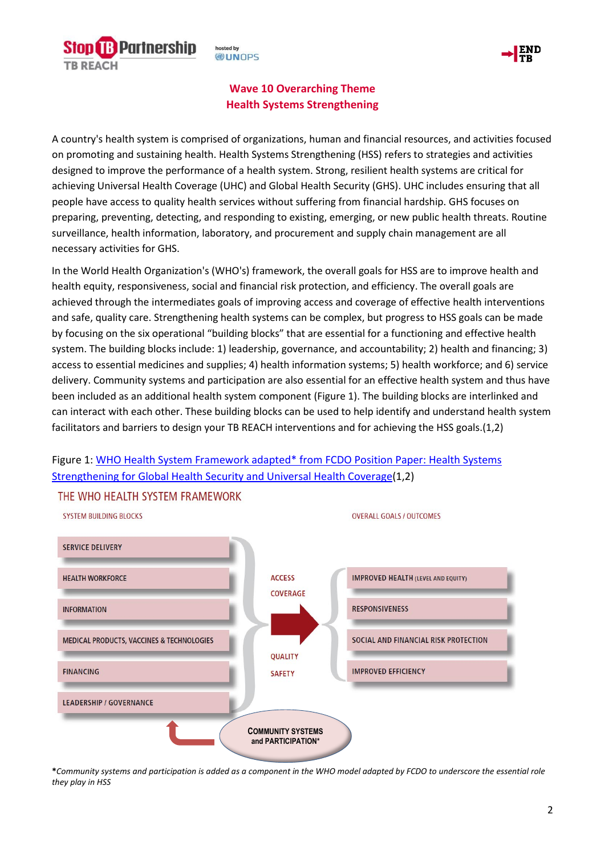**B** Partnership **TB REACH** 

hosted by **WUNDPS** 



# **Wave 10 Overarching Theme Health Systems Strengthening**

A country's health system is comprised of organizations, human and financial resources, and activities focused on promoting and sustaining health. Health Systems Strengthening (HSS) refers to strategies and activities designed to improve the performance of a health system. Strong, resilient health systems are critical for achieving Universal Health Coverage (UHC) and Global Health Security (GHS). UHC includes ensuring that all people have access to quality health services without suffering from financial hardship. GHS focuses on preparing, preventing, detecting, and responding to existing, emerging, or new public health threats. Routine surveillance, health information, laboratory, and procurement and supply chain management are all necessary activities for GHS.

In the World Health Organization's (WHO's) framework, the overall goals for HSS are to improve health and health equity, responsiveness, social and financial risk protection, and efficiency. The overall goals are achieved through the intermediates goals of improving access and coverage of effective health interventions and safe, quality care. Strengthening health systems can be complex, but progress to HSS goals can be made by focusing on the six operational "building blocks" that are essential for a functioning and effective health system. The building blocks include: 1) leadership, governance, and accountability; 2) health and financing; 3) access to essential medicines and supplies; 4) health information systems; 5) health workforce; and 6) service delivery. Community systems and participation are also essential for an effective health system and thus have been included as an additional health system component (Figure 1). The building blocks are interlinked and can interact with each other. These building blocks can be used to help identify and understand health system facilitators and barriers to design your TB REACH interventions and for achieving the HSS goals.(1,2)



# Figure 1: [WHO Health System Framework adapted\\* from FCDO](https://www.gov.uk/government/publications/health-systems-strengthening-for-global-health-security-and-universal-health-coverage) Position Paper: Health Systems [Strengthening for Global Health Security and Universal Health Coverage\(](https://www.gov.uk/government/publications/health-systems-strengthening-for-global-health-security-and-universal-health-coverage)1,2)

**<sup>\*</sup>***Community systems and participation is added as a component in the WHO model adapted by FCDO to underscore the essential role they play in HSS*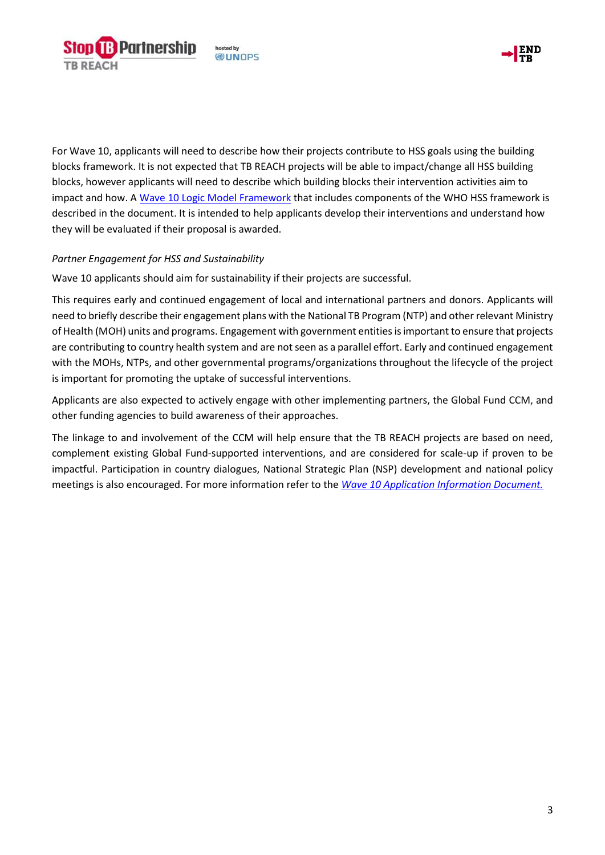



For Wave 10, applicants will need to describe how their projects contribute to HSS goals using the building blocks framework. It is not expected that TB REACH projects will be able to impact/change all HSS building blocks, however applicants will need to describe which building blocks their intervention activities aim to impact and how. A [Wave 10 Logic Model Framework](https://www.stoptb.org/waves-of-funding/wave-10) that includes components of the WHO HSS framework is described in the document. It is intended to help applicants develop their interventions and understand how they will be evaluated if their proposal is awarded.

## *Partner Engagement for HSS and Sustainability*

Wave 10 applicants should aim for sustainability if their projects are successful.

This requires early and continued engagement of local and international partners and donors. Applicants will need to briefly describe their engagement plans with the National TB Program (NTP) and other relevant Ministry of Health (MOH) units and programs. Engagement with government entities is important to ensure that projects are contributing to country health system and are not seen as a parallel effort. Early and continued engagement with the MOHs, NTPs, and other governmental programs/organizations throughout the lifecycle of the project is important for promoting the uptake of successful interventions.

Applicants are also expected to actively engage with other implementing partners, the Global Fund CCM, and other funding agencies to build awareness of their approaches.

The linkage to and involvement of the CCM will help ensure that the TB REACH projects are based on need, complement existing Global Fund-supported interventions, and are considered for scale-up if proven to be impactful. Participation in country dialogues, National Strategic Plan (NSP) development and national policy meetings is also encouraged. For more information refer to the *[Wave 10 Application Information Document.](https://www.stoptb.org/waves-of-funding/wave-10)*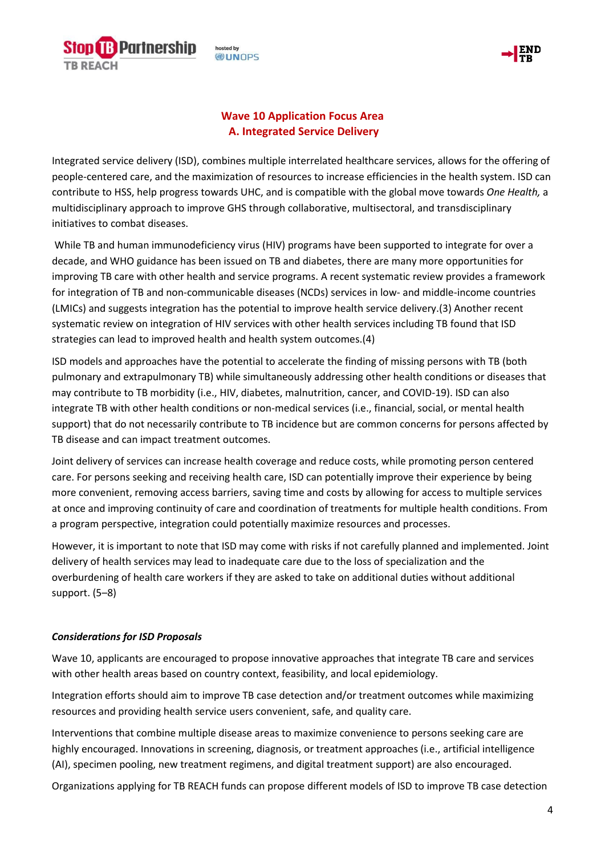

osted by **DUNOPS** 



# **Wave 10 Application Focus Area A. Integrated Service Delivery**

Integrated service delivery (ISD), combines multiple interrelated healthcare services, allows for the offering of people-centered care, and the maximization of resources to increase efficiencies in the health system. ISD can contribute to HSS, help progress towards UHC, and is compatible with the global move towards *One Health,* a multidisciplinary approach to improve GHS through collaborative, multisectoral, and transdisciplinary initiatives to combat diseases.

While TB and human immunodeficiency virus (HIV) programs have been supported to integrate for over a decade, and WHO guidance has been issued on TB and diabetes, there are many more opportunities for improving TB care with other health and service programs. A recent systematic review provides a framework for integration of TB and non-communicable diseases (NCDs) services in low- and middle-income countries (LMICs) and suggests integration has the potential to improve health service delivery.(3) Another recent systematic review on integration of HIV services with other health services including TB found that ISD strategies can lead to improved health and health system outcomes.(4)

ISD models and approaches have the potential to accelerate the finding of missing persons with TB (both pulmonary and extrapulmonary TB) while simultaneously addressing other health conditions or diseases that may contribute to TB morbidity (i.e., HIV, diabetes, malnutrition, cancer, and COVID-19). ISD can also integrate TB with other health conditions or non-medical services (i.e., financial, social, or mental health support) that do not necessarily contribute to TB incidence but are common concerns for persons affected by TB disease and can impact treatment outcomes.

Joint delivery of services can increase health coverage and reduce costs, while promoting person centered care. For persons seeking and receiving health care, ISD can potentially improve their experience by being more convenient, removing access barriers, saving time and costs by allowing for access to multiple services at once and improving continuity of care and coordination of treatments for multiple health conditions. From a program perspective, integration could potentially maximize resources and processes.

However, it is important to note that ISD may come with risks if not carefully planned and implemented. Joint delivery of health services may lead to inadequate care due to the loss of specialization and the overburdening of health care workers if they are asked to take on additional duties without additional support. (5–8)

## *Considerations for ISD Proposals*

Wave 10, applicants are encouraged to propose innovative approaches that integrate TB care and services with other health areas based on country context, feasibility, and local epidemiology.

Integration efforts should aim to improve TB case detection and/or treatment outcomes while maximizing resources and providing health service users convenient, safe, and quality care.

Interventions that combine multiple disease areas to maximize convenience to persons seeking care are highly encouraged. Innovations in screening, diagnosis, or treatment approaches (i.e., artificial intelligence (AI), specimen pooling, new treatment regimens, and digital treatment support) are also encouraged.

Organizations applying for TB REACH funds can propose different models of ISD to improve TB case detection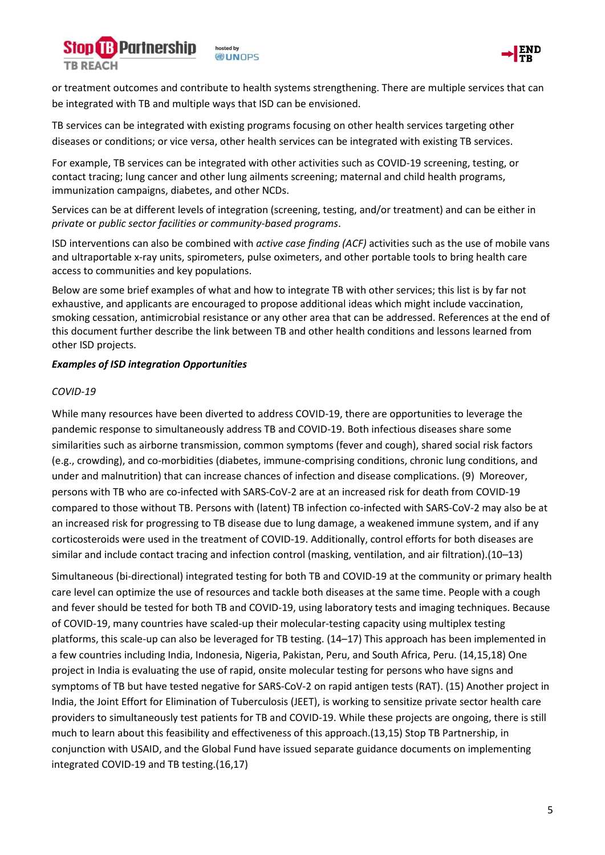



or treatment outcomes and contribute to health systems strengthening. There are multiple services that can be integrated with TB and multiple ways that ISD can be envisioned.

TB services can be integrated with existing programs focusing on other health services targeting other diseases or conditions; or vice versa, other health services can be integrated with existing TB services.

For example, TB services can be integrated with other activities such as COVID-19 screening, testing, or contact tracing; lung cancer and other lung ailments screening; maternal and child health programs, immunization campaigns, diabetes, and other NCDs.

Services can be at different levels of integration (screening, testing, and/or treatment) and can be either in *private* or *public sector facilities or community-based programs*.

ISD interventions can also be combined with *active case finding (ACF)* activities such as the use of mobile vans and ultraportable x-ray units, spirometers, pulse oximeters, and other portable tools to bring health care access to communities and key populations.

Below are some brief examples of what and how to integrate TB with other services; this list is by far not exhaustive, and applicants are encouraged to propose additional ideas which might include vaccination, smoking cessation, antimicrobial resistance or any other area that can be addressed. References at the end of this document further describe the link between TB and other health conditions and lessons learned from other ISD projects.

### *Examples of ISD integration Opportunities*

### *COVID-19*

While many resources have been diverted to address COVID-19, there are opportunities to leverage the pandemic response to simultaneously address TB and COVID-19. Both infectious diseases share some similarities such as airborne transmission, common symptoms (fever and cough), shared social risk factors (e.g., crowding), and co-morbidities (diabetes, immune-comprising conditions, chronic lung conditions, and under and malnutrition) that can increase chances of infection and disease complications. (9) Moreover, persons with TB who are co-infected with SARS-CoV-2 are at an increased risk for death from COVID-19 compared to those without TB. Persons with (latent) TB infection co-infected with SARS-CoV-2 may also be at an increased risk for progressing to TB disease due to lung damage, a weakened immune system, and if any corticosteroids were used in the treatment of COVID-19. Additionally, control efforts for both diseases are similar and include contact tracing and infection control (masking, ventilation, and air filtration).(10–13)

Simultaneous (bi-directional) integrated testing for both TB and COVID-19 at the community or primary health care level can optimize the use of resources and tackle both diseases at the same time. People with a cough and fever should be tested for both TB and COVID-19, using laboratory tests and imaging techniques. Because of COVID-19, many countries have scaled-up their molecular-testing capacity using multiplex testing platforms, this scale-up can also be leveraged for TB testing. (14–17) This approach has been implemented in a few countries including India, Indonesia, Nigeria, Pakistan, Peru, and South Africa, Peru. (14,15,18) One project in India is evaluating the use of rapid, onsite molecular testing for persons who have signs and symptoms of TB but have tested negative for SARS-CoV-2 on rapid antigen tests (RAT). (15) Another project in India, the Joint Effort for Elimination of Tuberculosis (JEET), is working to sensitize private sector health care providers to simultaneously test patients for TB and COVID-19. While these projects are ongoing, there is still much to learn about this feasibility and effectiveness of this approach.(13,15) Stop TB Partnership, in conjunction with USAID, and the Global Fund have issued separate guidance documents on implementing integrated COVID-19 and TB testing.(16,17)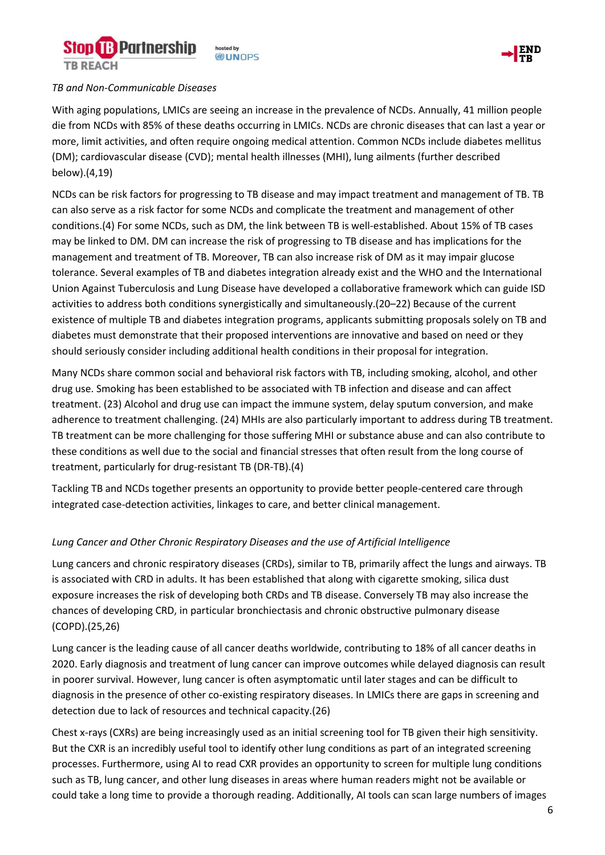



#### *TB and Non-Communicable Diseases*

With aging populations, LMICs are seeing an increase in the prevalence of NCDs. Annually, 41 million people die from NCDs with 85% of these deaths occurring in LMICs. NCDs are chronic diseases that can last a year or more, limit activities, and often require ongoing medical attention. Common NCDs include diabetes mellitus (DM); cardiovascular disease (CVD); mental health illnesses (MHI), lung ailments (further described below).(4,19)

NCDs can be risk factors for progressing to TB disease and may impact treatment and management of TB. TB can also serve as a risk factor for some NCDs and complicate the treatment and management of other conditions.(4) For some NCDs, such as DM, the link between TB is well-established. About 15% of TB cases may be linked to DM. DM can increase the risk of progressing to TB disease and has implications for the management and treatment of TB. Moreover, TB can also increase risk of DM as it may impair glucose tolerance. Several examples of TB and diabetes integration already exist and the WHO and the International Union Against Tuberculosis and Lung Disease have developed a collaborative framework which can guide ISD activities to address both conditions synergistically and simultaneously.(20–22) Because of the current existence of multiple TB and diabetes integration programs, applicants submitting proposals solely on TB and diabetes must demonstrate that their proposed interventions are innovative and based on need or they should seriously consider including additional health conditions in their proposal for integration.

Many NCDs share common social and behavioral risk factors with TB, including smoking, alcohol, and other drug use. Smoking has been established to be associated with TB infection and disease and can affect treatment. (23) Alcohol and drug use can impact the immune system, delay sputum conversion, and make adherence to treatment challenging. (24) MHIs are also particularly important to address during TB treatment. TB treatment can be more challenging for those suffering MHI or substance abuse and can also contribute to these conditions as well due to the social and financial stresses that often result from the long course of treatment, particularly for drug-resistant TB (DR-TB).(4)

Tackling TB and NCDs together presents an opportunity to provide better people-centered care through integrated case-detection activities, linkages to care, and better clinical management.

#### *Lung Cancer and Other Chronic Respiratory Diseases and the use of Artificial Intelligence*

Lung cancers and chronic respiratory diseases (CRDs), similar to TB, primarily affect the lungs and airways. TB is associated with CRD in adults. It has been established that along with cigarette smoking, silica dust exposure increases the risk of developing both CRDs and TB disease. Conversely TB may also increase the chances of developing CRD, in particular bronchiectasis and chronic obstructive pulmonary disease (COPD).(25,26)

Lung cancer is the leading cause of all cancer deaths worldwide, contributing to 18% of all cancer deaths in 2020. Early diagnosis and treatment of lung cancer can improve outcomes while delayed diagnosis can result in poorer survival. However, lung cancer is often asymptomatic until later stages and can be difficult to diagnosis in the presence of other co-existing respiratory diseases. In LMICs there are gaps in screening and detection due to lack of resources and technical capacity.(26)

Chest x-rays (CXRs) are being increasingly used as an initial screening tool for TB given their high sensitivity. But the CXR is an incredibly useful tool to identify other lung conditions as part of an integrated screening processes. Furthermore, using AI to read CXR provides an opportunity to screen for multiple lung conditions such as TB, lung cancer, and other lung diseases in areas where human readers might not be available or could take a long time to provide a thorough reading. Additionally, AI tools can scan large numbers of images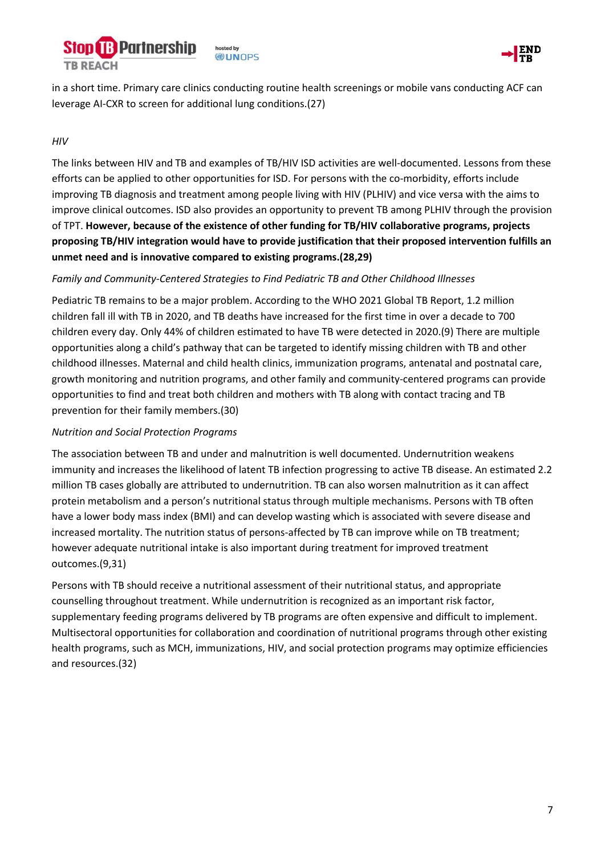



in a short time. Primary care clinics conducting routine health screenings or mobile vans conducting ACF can leverage AI-CXR to screen for additional lung conditions.(27)

### *HIV*

The links between HIV and TB and examples of TB/HIV ISD activities are well-documented. Lessons from these efforts can be applied to other opportunities for ISD. For persons with the co-morbidity, efforts include improving TB diagnosis and treatment among people living with HIV (PLHIV) and vice versa with the aims to improve clinical outcomes. ISD also provides an opportunity to prevent TB among PLHIV through the provision of TPT. **However, because of the existence of other funding for TB/HIV collaborative programs, projects proposing TB/HIV integration would have to provide justification that their proposed intervention fulfills an unmet need and is innovative compared to existing programs.(28,29)**

### *Family and Community-Centered Strategies to Find Pediatric TB and Other Childhood Illnesses*

Pediatric TB remains to be a major problem. According to the WHO 2021 Global TB Report, 1.2 million children fall ill with TB in 2020, and TB deaths have increased for the first time in over a decade to 700 children every day. Only 44% of children estimated to have TB were detected in 2020.(9) There are multiple opportunities along a child's pathway that can be targeted to identify missing children with TB and other childhood illnesses. Maternal and child health clinics, immunization programs, antenatal and postnatal care, growth monitoring and nutrition programs, and other family and community-centered programs can provide opportunities to find and treat both children and mothers with TB along with contact tracing and TB prevention for their family members.(30)

#### *Nutrition and Social Protection Programs*

The association between TB and under and malnutrition is well documented. Undernutrition weakens immunity and increases the likelihood of latent TB infection progressing to active TB disease. An estimated 2.2 million TB cases globally are attributed to undernutrition. TB can also worsen malnutrition as it can affect protein metabolism and a person's nutritional status through multiple mechanisms. Persons with TB often have a lower body mass index (BMI) and can develop wasting which is associated with severe disease and increased mortality. The nutrition status of persons-affected by TB can improve while on TB treatment; however adequate nutritional intake is also important during treatment for improved treatment outcomes.(9,31)

Persons with TB should receive a nutritional assessment of their nutritional status, and appropriate counselling throughout treatment. While undernutrition is recognized as an important risk factor, supplementary feeding programs delivered by TB programs are often expensive and difficult to implement. Multisectoral opportunities for collaboration and coordination of nutritional programs through other existing health programs, such as MCH, immunizations, HIV, and social protection programs may optimize efficiencies and resources.(32)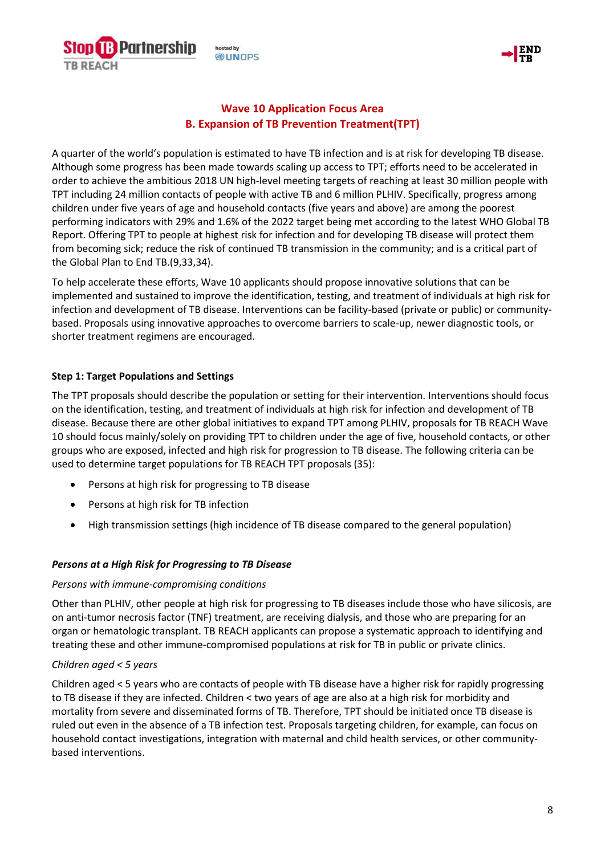



# **Wave 10 Application Focus Area B. Expansion of TB Prevention Treatment(TPT)**

A quarter of the world's population is estimated to have TB infection and is at risk for developing TB disease. Although some progress has been made towards scaling up access to TPT; efforts need to be accelerated in order to achieve the ambitious 2018 UN high-level meeting targets of reaching at least 30 million people with TPT including 24 million contacts of people with active TB and 6 million PLHIV. Specifically, progress among children under five years of age and household contacts (five years and above) are among the poorest performing indicators with 29% and 1.6% of the 2022 target being met according to the latest WHO Global TB Report. Offering TPT to people at highest risk for infection and for developing TB disease will protect them from becoming sick; reduce the risk of continued TB transmission in the community; and is a critical part of the Global Plan to End TB.(9,33,34).

To help accelerate these efforts, Wave 10 applicants should propose innovative solutions that can be implemented and sustained to improve the identification, testing, and treatment of individuals at high risk for infection and development of TB disease. Interventions can be facility-based (private or public) or communitybased. Proposals using innovative approaches to overcome barriers to scale-up, newer diagnostic tools, or shorter treatment regimens are encouraged.

## **Step 1: Target Populations and Settings**

The TPT proposals should describe the population or setting for their intervention. Interventions should focus on the identification, testing, and treatment of individuals at high risk for infection and development of TB disease. Because there are other global initiatives to expand TPT among PLHIV, proposals for TB REACH Wave 10 should focus mainly/solely on providing TPT to children under the age of five, household contacts, or other groups who are exposed, infected and high risk for progression to TB disease. The following criteria can be used to determine target populations for TB REACH TPT proposals (35):

- Persons at high risk for progressing to TB disease
- Persons at high risk for TB infection
- High transmission settings (high incidence of TB disease compared to the general population)

## *Persons at a High Risk for Progressing to TB Disease*

## *Persons with immune-compromising conditions*

Other than PLHIV, other people at high risk for progressing to TB diseases include those who have silicosis, are on anti-tumor necrosis factor (TNF) treatment, are receiving dialysis, and those who are preparing for an organ or hematologic transplant. TB REACH applicants can propose a systematic approach to identifying and treating these and other immune-compromised populations at risk for TB in public or private clinics.

## *Children aged < 5 years*

Children aged < 5 years who are contacts of people with TB disease have a higher risk for rapidly progressing to TB disease if they are infected. Children < two years of age are also at a high risk for morbidity and mortality from severe and disseminated forms of TB. Therefore, TPT should be initiated once TB disease is ruled out even in the absence of a TB infection test. Proposals targeting children, for example, can focus on household contact investigations, integration with maternal and child health services, or other communitybased interventions.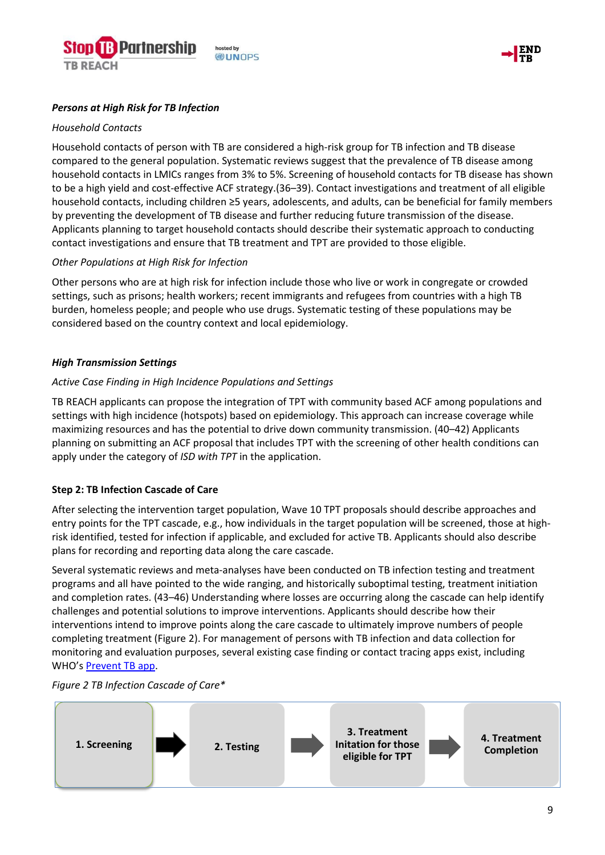



#### *Persons at High Risk for TB Infection*

#### *Household Contacts*

Household contacts of person with TB are considered a high-risk group for TB infection and TB disease compared to the general population. Systematic reviews suggest that the prevalence of TB disease among household contacts in LMICs ranges from 3% to 5%. Screening of household contacts for TB disease has shown to be a high yield and cost-effective ACF strategy.(36–39). Contact investigations and treatment of all eligible household contacts, including children ≥5 years, adolescents, and adults, can be beneficial for family members by preventing the development of TB disease and further reducing future transmission of the disease. Applicants planning to target household contacts should describe their systematic approach to conducting contact investigations and ensure that TB treatment and TPT are provided to those eligible.

#### *Other Populations at High Risk for Infection*

Other persons who are at high risk for infection include those who live or work in congregate or crowded settings, such as prisons; health workers; recent immigrants and refugees from countries with a high TB burden, homeless people; and people who use drugs. Systematic testing of these populations may be considered based on the country context and local epidemiology.

#### *High Transmission Settings*

#### *Active Case Finding in High Incidence Populations and Settings*

TB REACH applicants can propose the integration of TPT with community based ACF among populations and settings with high incidence (hotspots) based on epidemiology. This approach can increase coverage while maximizing resources and has the potential to drive down community transmission. (40–42) Applicants planning on submitting an ACF proposal that includes TPT with the screening of other health conditions can apply under the category of *ISD with TPT* in the application.

#### **Step 2: TB Infection Cascade of Care**

After selecting the intervention target population, Wave 10 TPT proposals should describe approaches and entry points for the TPT cascade, e.g., how individuals in the target population will be screened, those at highrisk identified, tested for infection if applicable, and excluded for active TB. Applicants should also describe plans for recording and reporting data along the care cascade.

Several systematic reviews and meta-analyses have been conducted on TB infection testing and treatment programs and all have pointed to the wide ranging, and historically suboptimal testing, treatment initiation and completion rates. (43–46) Understanding where losses are occurring along the cascade can help identify challenges and potential solutions to improve interventions. Applicants should describe how their interventions intend to improve points along the care cascade to ultimately improve numbers of people completing treatment (Figure 2). For management of persons with TB infection and data collection for monitoring and evaluation purposes, several existing case finding or contact tracing apps exist, including WHO's [Prevent TB app.](https://www.who.int/activities/preventing-tb)



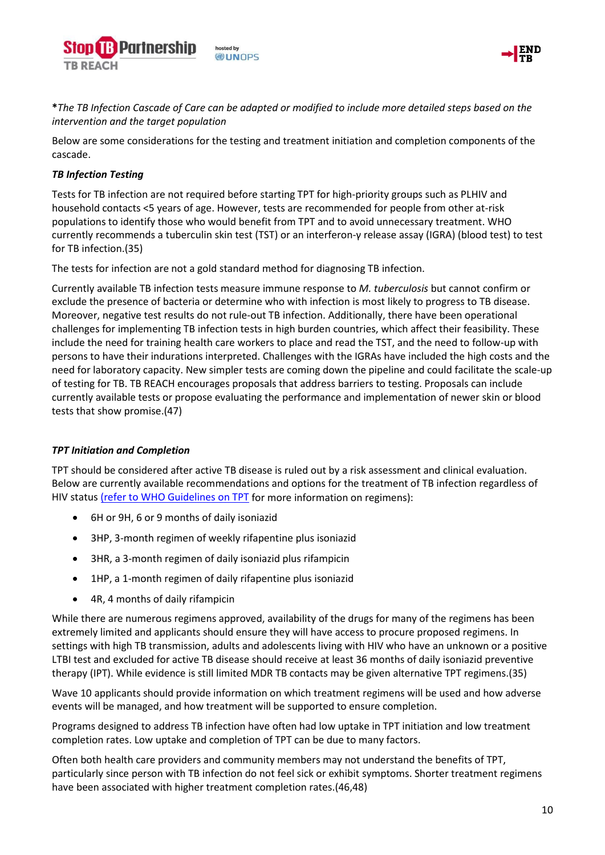



**\****The TB Infection Cascade of Care can be adapted or modified to include more detailed steps based on the intervention and the target population*

Below are some considerations for the testing and treatment initiation and completion components of the cascade.

### *TB Infection Testing*

Tests for TB infection are not required before starting TPT for high-priority groups such as PLHIV and household contacts <5 years of age. However, tests are recommended for people from other at-risk populations to identify those who would benefit from TPT and to avoid unnecessary treatment. WHO currently recommends a tuberculin skin test (TST) or an interferon-γ release assay (IGRA) (blood test) to test for TB infection.(35)

The tests for infection are not a gold standard method for diagnosing TB infection.

Currently available TB infection tests measure immune response to *M. tuberculosis* but cannot confirm or exclude the presence of bacteria or determine who with infection is most likely to progress to TB disease. Moreover, negative test results do not rule-out TB infection. Additionally, there have been operational challenges for implementing TB infection tests in high burden countries, which affect their feasibility. These include the need for training health care workers to place and read the TST, and the need to follow-up with persons to have their indurations interpreted. Challenges with the IGRAs have included the high costs and the need for laboratory capacity. New simpler tests are coming down the pipeline and could facilitate the scale-up of testing for TB. TB REACH encourages proposals that address barriers to testing. Proposals can include currently available tests or propose evaluating the performance and implementation of newer skin or blood tests that show promise.(47)

#### *TPT Initiation and Completion*

TPT should be considered after active TB disease is ruled out by a risk assessment and clinical evaluation. Below are currently available recommendations and options for the treatment of TB infection regardless of HIV status [\(refer to WHO Guidelines on TPT](https://apps.who.int/iris/bitstream/handle/10665/331525/9789240002906-eng.pdf) for more information on regimens):

- 6H or 9H, 6 or 9 months of daily isoniazid
- 3HP, 3-month regimen of weekly rifapentine plus isoniazid
- 3HR, a 3-month regimen of daily isoniazid plus rifampicin
- 1HP, a 1-month regimen of daily rifapentine plus isoniazid
- 4R, 4 months of daily rifampicin

While there are numerous regimens approved, availability of the drugs for many of the regimens has been extremely limited and applicants should ensure they will have access to procure proposed regimens. In settings with high TB transmission, adults and adolescents living with HIV who have an unknown or a positive LTBI test and excluded for active TB disease should receive at least 36 months of daily isoniazid preventive therapy (IPT). While evidence is still limited MDR TB contacts may be given alternative TPT regimens.(35)

Wave 10 applicants should provide information on which treatment regimens will be used and how adverse events will be managed, and how treatment will be supported to ensure completion.

Programs designed to address TB infection have often had low uptake in TPT initiation and low treatment completion rates. Low uptake and completion of TPT can be due to many factors.

Often both health care providers and community members may not understand the benefits of TPT, particularly since person with TB infection do not feel sick or exhibit symptoms. Shorter treatment regimens have been associated with higher treatment completion rates.(46,48)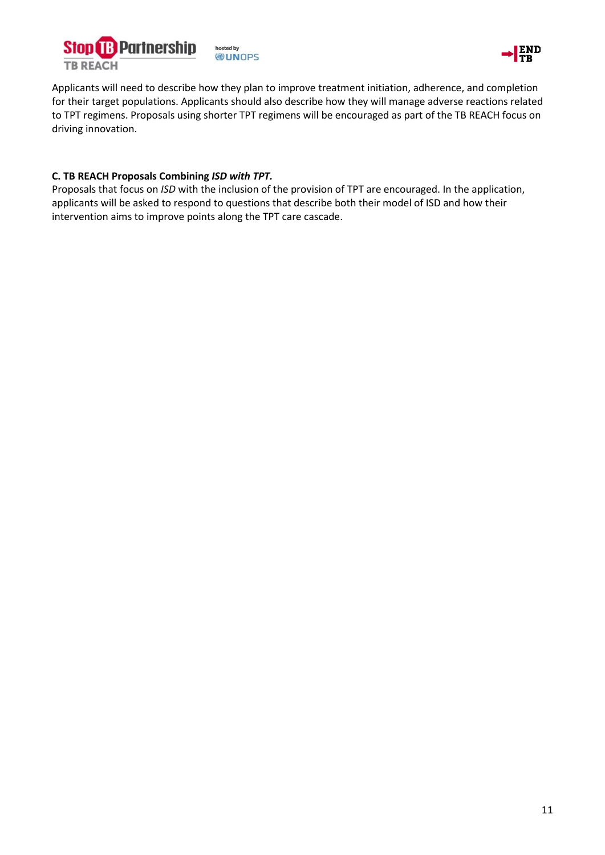



Applicants will need to describe how they plan to improve treatment initiation, adherence, and completion for their target populations. Applicants should also describe how they will manage adverse reactions related to TPT regimens. Proposals using shorter TPT regimens will be encouraged as part of the TB REACH focus on driving innovation.

### **C. TB REACH Proposals Combining** *ISD with TPT.*

Proposals that focus on *ISD* with the inclusion of the provision of TPT are encouraged. In the application, applicants will be asked to respond to questions that describe both their model of ISD and how their intervention aims to improve points along the TPT care cascade.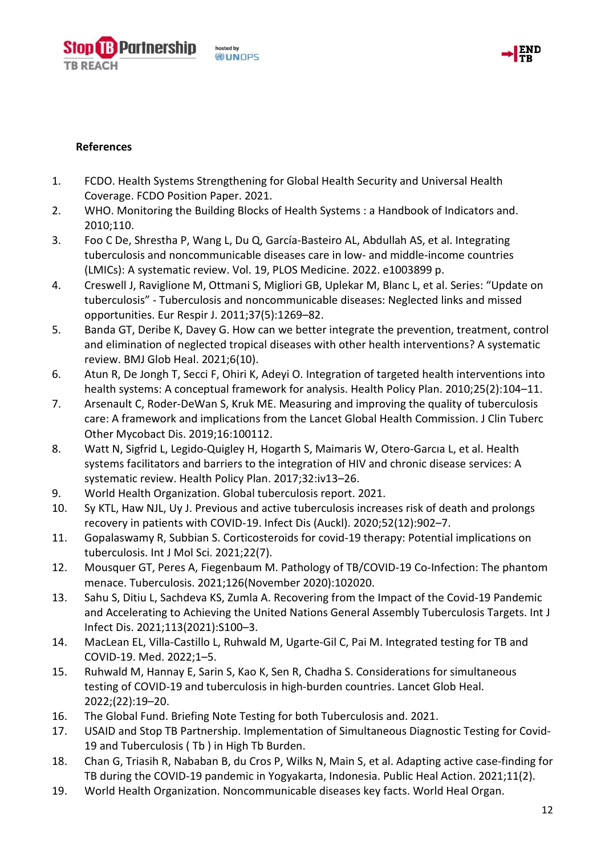osted by **DUNOPS** 



# **References**

**TB REACH** 

**Partnership** 

- 1. FCDO. Health Systems Strengthening for Global Health Security and Universal Health Coverage. FCDO Position Paper. 2021.
- 2. WHO. Monitoring the Building Blocks of Health Systems : a Handbook of Indicators and. 2010;110.
- 3. Foo C De, Shrestha P, Wang L, Du Q, García-Basteiro AL, Abdullah AS, et al. Integrating tuberculosis and noncommunicable diseases care in low- and middle-income countries (LMICs): A systematic review. Vol. 19, PLOS Medicine. 2022. e1003899 p.
- 4. Creswell J, Raviglione M, Ottmani S, Migliori GB, Uplekar M, Blanc L, et al. Series: "Update on tuberculosis" - Tuberculosis and noncommunicable diseases: Neglected links and missed opportunities. Eur Respir J. 2011;37(5):1269–82.
- 5. Banda GT, Deribe K, Davey G. How can we better integrate the prevention, treatment, control and elimination of neglected tropical diseases with other health interventions? A systematic review. BMJ Glob Heal. 2021;6(10).
- 6. Atun R, De Jongh T, Secci F, Ohiri K, Adeyi O. Integration of targeted health interventions into health systems: A conceptual framework for analysis. Health Policy Plan. 2010;25(2):104–11.
- 7. Arsenault C, Roder-DeWan S, Kruk ME. Measuring and improving the quality of tuberculosis care: A framework and implications from the Lancet Global Health Commission. J Clin Tuberc Other Mycobact Dis. 2019;16:100112.
- 8. Watt N, Sigfrid L, Legido-Quigley H, Hogarth S, Maimaris W, Otero-Garcıa L, et al. Health systems facilitators and barriers to the integration of HIV and chronic disease services: A systematic review. Health Policy Plan. 2017;32:iv13–26.
- 9. World Health Organization. Global tuberculosis report. 2021.
- 10. Sy KTL, Haw NJL, Uy J. Previous and active tuberculosis increases risk of death and prolongs recovery in patients with COVID-19. Infect Dis (Auckl). 2020;52(12):902–7.
- 11. Gopalaswamy R, Subbian S. Corticosteroids for covid-19 therapy: Potential implications on tuberculosis. Int J Mol Sci. 2021;22(7).
- 12. Mousquer GT, Peres A, Fiegenbaum M. Pathology of TB/COVID-19 Co-Infection: The phantom menace. Tuberculosis. 2021;126(November 2020):102020.
- 13. Sahu S, Ditiu L, Sachdeva KS, Zumla A. Recovering from the Impact of the Covid-19 Pandemic and Accelerating to Achieving the United Nations General Assembly Tuberculosis Targets. Int J Infect Dis. 2021;113(2021):S100–3.
- 14. MacLean EL, Villa-Castillo L, Ruhwald M, Ugarte-Gil C, Pai M. Integrated testing for TB and COVID-19. Med. 2022;1–5.
- 15. Ruhwald M, Hannay E, Sarin S, Kao K, Sen R, Chadha S. Considerations for simultaneous testing of COVID-19 and tuberculosis in high-burden countries. Lancet Glob Heal. 2022;(22):19–20.
- 16. The Global Fund. Briefing Note Testing for both Tuberculosis and. 2021.
- 17. USAID and Stop TB Partnership. Implementation of Simultaneous Diagnostic Testing for Covid-19 and Tuberculosis ( Tb ) in High Tb Burden.
- 18. Chan G, Triasih R, Nababan B, du Cros P, Wilks N, Main S, et al. Adapting active case-finding for TB during the COVID-19 pandemic in Yogyakarta, Indonesia. Public Heal Action. 2021;11(2).
- 19. World Health Organization. Noncommunicable diseases key facts. World Heal Organ.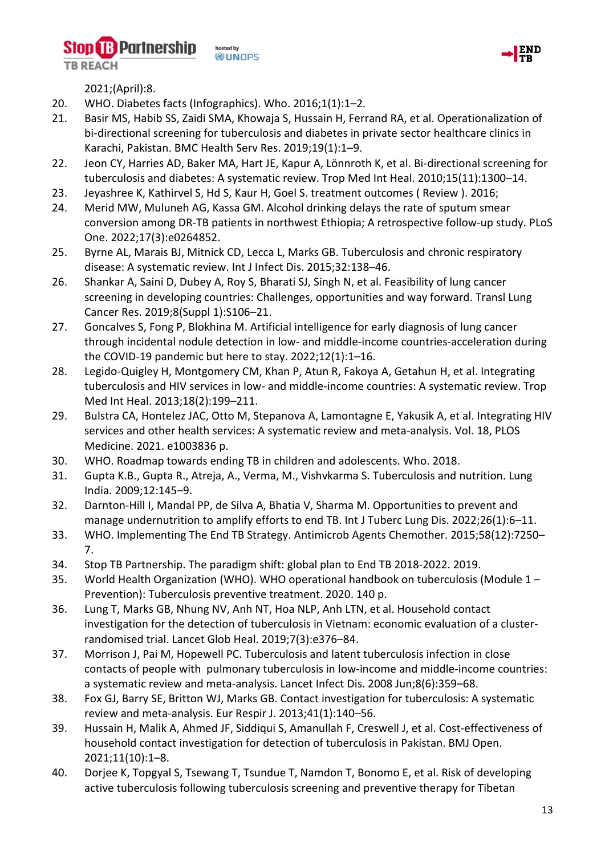**B** Partnership osted by **DUNOPS** 



2021;(April):8.

**TB REACH** 

- 20. WHO. Diabetes facts (Infographics). Who. 2016;1(1):1–2.
- 21. Basir MS, Habib SS, Zaidi SMA, Khowaja S, Hussain H, Ferrand RA, et al. Operationalization of bi-directional screening for tuberculosis and diabetes in private sector healthcare clinics in Karachi, Pakistan. BMC Health Serv Res. 2019;19(1):1–9.
- 22. Jeon CY, Harries AD, Baker MA, Hart JE, Kapur A, Lönnroth K, et al. Bi-directional screening for tuberculosis and diabetes: A systematic review. Trop Med Int Heal. 2010;15(11):1300–14.
- 23. Jeyashree K, Kathirvel S, Hd S, Kaur H, Goel S. treatment outcomes ( Review ). 2016;
- 24. Merid MW, Muluneh AG, Kassa GM. Alcohol drinking delays the rate of sputum smear conversion among DR-TB patients in northwest Ethiopia; A retrospective follow-up study. PLoS One. 2022;17(3):e0264852.
- 25. Byrne AL, Marais BJ, Mitnick CD, Lecca L, Marks GB. Tuberculosis and chronic respiratory disease: A systematic review. Int J Infect Dis. 2015;32:138–46.
- 26. Shankar A, Saini D, Dubey A, Roy S, Bharati SJ, Singh N, et al. Feasibility of lung cancer screening in developing countries: Challenges, opportunities and way forward. Transl Lung Cancer Res. 2019;8(Suppl 1):S106–21.
- 27. Goncalves S, Fong P, Blokhina M. Artificial intelligence for early diagnosis of lung cancer through incidental nodule detection in low- and middle-income countries-acceleration during the COVID-19 pandemic but here to stay. 2022;12(1):1–16.
- 28. Legido-Quigley H, Montgomery CM, Khan P, Atun R, Fakoya A, Getahun H, et al. Integrating tuberculosis and HIV services in low- and middle-income countries: A systematic review. Trop Med Int Heal. 2013;18(2):199–211.
- 29. Bulstra CA, Hontelez JAC, Otto M, Stepanova A, Lamontagne E, Yakusik A, et al. Integrating HIV services and other health services: A systematic review and meta-analysis. Vol. 18, PLOS Medicine. 2021. e1003836 p.
- 30. WHO. Roadmap towards ending TB in children and adolescents. Who. 2018.
- 31. Gupta K.B., Gupta R., Atreja, A., Verma, M., Vishvkarma S. Tuberculosis and nutrition. Lung India. 2009;12:145–9.
- 32. Darnton-Hill I, Mandal PP, de Silva A, Bhatia V, Sharma M. Opportunities to prevent and manage undernutrition to amplify efforts to end TB. Int J Tuberc Lung Dis. 2022;26(1):6–11.
- 33. WHO. Implementing The End TB Strategy. Antimicrob Agents Chemother. 2015;58(12):7250– 7.
- 34. Stop TB Partnership. The paradigm shift: global plan to End TB 2018-2022. 2019.
- 35. World Health Organization (WHO). WHO operational handbook on tuberculosis (Module 1 Prevention): Tuberculosis preventive treatment. 2020. 140 p.
- 36. Lung T, Marks GB, Nhung NV, Anh NT, Hoa NLP, Anh LTN, et al. Household contact investigation for the detection of tuberculosis in Vietnam: economic evaluation of a clusterrandomised trial. Lancet Glob Heal. 2019;7(3):e376–84.
- 37. Morrison J, Pai M, Hopewell PC. Tuberculosis and latent tuberculosis infection in close contacts of people with pulmonary tuberculosis in low-income and middle-income countries: a systematic review and meta-analysis. Lancet Infect Dis. 2008 Jun;8(6):359–68.
- 38. Fox GJ, Barry SE, Britton WJ, Marks GB. Contact investigation for tuberculosis: A systematic review and meta-analysis. Eur Respir J. 2013;41(1):140–56.
- 39. Hussain H, Malik A, Ahmed JF, Siddiqui S, Amanullah F, Creswell J, et al. Cost-effectiveness of household contact investigation for detection of tuberculosis in Pakistan. BMJ Open. 2021;11(10):1–8.
- 40. Dorjee K, Topgyal S, Tsewang T, Tsundue T, Namdon T, Bonomo E, et al. Risk of developing active tuberculosis following tuberculosis screening and preventive therapy for Tibetan